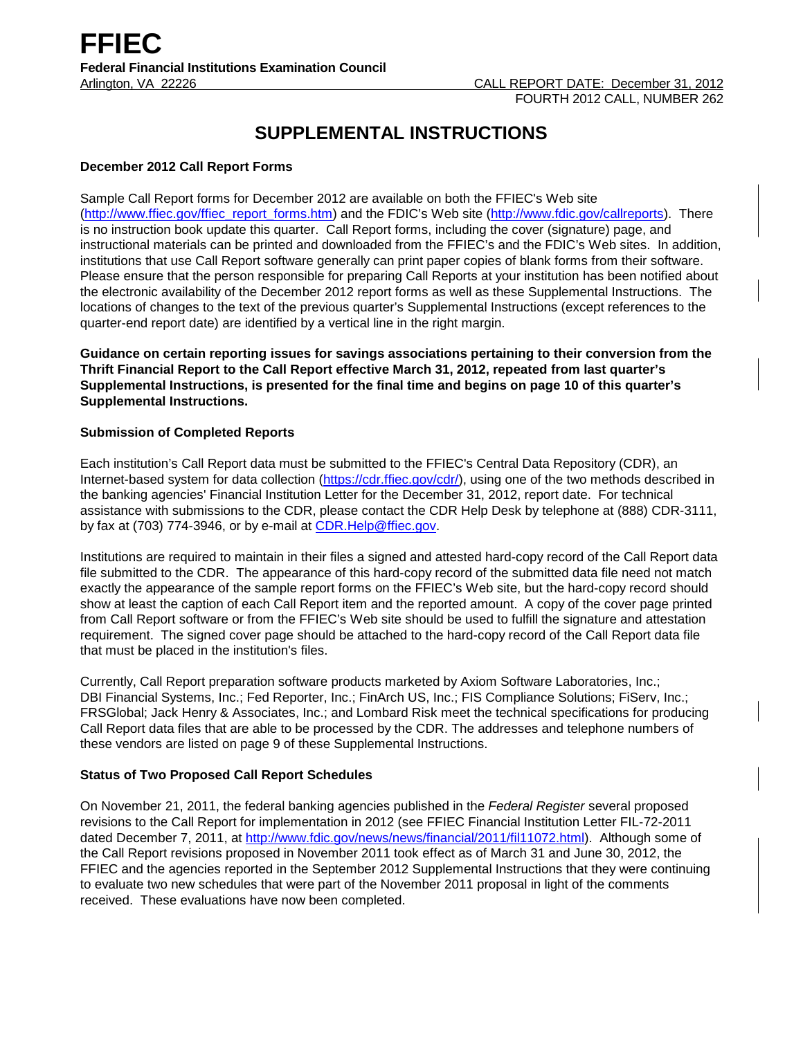# **SUPPLEMENTAL INSTRUCTIONS**

## **December 2012 Call Report Forms**

Sample Call Report forms for December 2012 are available on both the FFIEC's Web site [\(http://www.ffiec.gov/ffiec\\_report\\_forms.htm\)](http://www.ffiec.gov/ffiec_report_forms.htm) and the FDIC's Web site [\(http://www.fdic.gov/callreports\)](http://www.fdic.gov/callreports). There is no instruction book update this quarter. Call Report forms, including the cover (signature) page, and instructional materials can be printed and downloaded from the FFIEC's and the FDIC's Web sites. In addition, institutions that use Call Report software generally can print paper copies of blank forms from their software. Please ensure that the person responsible for preparing Call Reports at your institution has been notified about the electronic availability of the December 2012 report forms as well as these Supplemental Instructions. The locations of changes to the text of the previous quarter's Supplemental Instructions (except references to the quarter-end report date) are identified by a vertical line in the right margin.

**Guidance on certain reporting issues for savings associations pertaining to their conversion from the Thrift Financial Report to the Call Report effective March 31, 2012, repeated from last quarter's Supplemental Instructions, is presented for the final time and begins on page 10 of this quarter's Supplemental Instructions.**

## **Submission of Completed Reports**

Each institution's Call Report data must be submitted to the FFIEC's Central Data Repository (CDR), an Internet-based system for data collection [\(https://cdr.ffiec.gov/cdr/\)](https://cdr.ffiec.gov/cdr/), using one of the two methods described in the banking agencies' Financial Institution Letter for the December 31, 2012, report date. For technical assistance with submissions to the CDR, please contact the CDR Help Desk by telephone at (888) CDR-3111, by fax at (703) 774-3946, or by e-mail at CDR. Help@ffiec.gov.

Institutions are required to maintain in their files a signed and attested hard-copy record of the Call Report data file submitted to the CDR. The appearance of this hard-copy record of the submitted data file need not match exactly the appearance of the sample report forms on the FFIEC's Web site, but the hard-copy record should show at least the caption of each Call Report item and the reported amount. A copy of the cover page printed from Call Report software or from the FFIEC's Web site should be used to fulfill the signature and attestation requirement. The signed cover page should be attached to the hard-copy record of the Call Report data file that must be placed in the institution's files.

Currently, Call Report preparation software products marketed by Axiom Software Laboratories, Inc.; DBI Financial Systems, Inc.; Fed Reporter, Inc.; FinArch US, Inc.; FIS Compliance Solutions; FiServ, Inc.; FRSGlobal; Jack Henry & Associates, Inc.; and Lombard Risk meet the technical specifications for producing Call Report data files that are able to be processed by the CDR. The addresses and telephone numbers of these vendors are listed on page 9 of these Supplemental Instructions.

# **Status of Two Proposed Call Report Schedules**

On November 21, 2011, the federal banking agencies published in the *Federal Register* several proposed revisions to the Call Report for implementation in 2012 (see FFIEC Financial Institution Letter FIL-72-2011 dated December 7, 2011, at [http://www.fdic.gov/news/news/financial/2011/fil11072.html\)](http://www.fdic.gov/news/news/financial/2011/fil11072.html). Although some of the Call Report revisions proposed in November 2011 took effect as of March 31 and June 30, 2012, the FFIEC and the agencies reported in the September 2012 Supplemental Instructions that they were continuing to evaluate two new schedules that were part of the November 2011 proposal in light of the comments received. These evaluations have now been completed.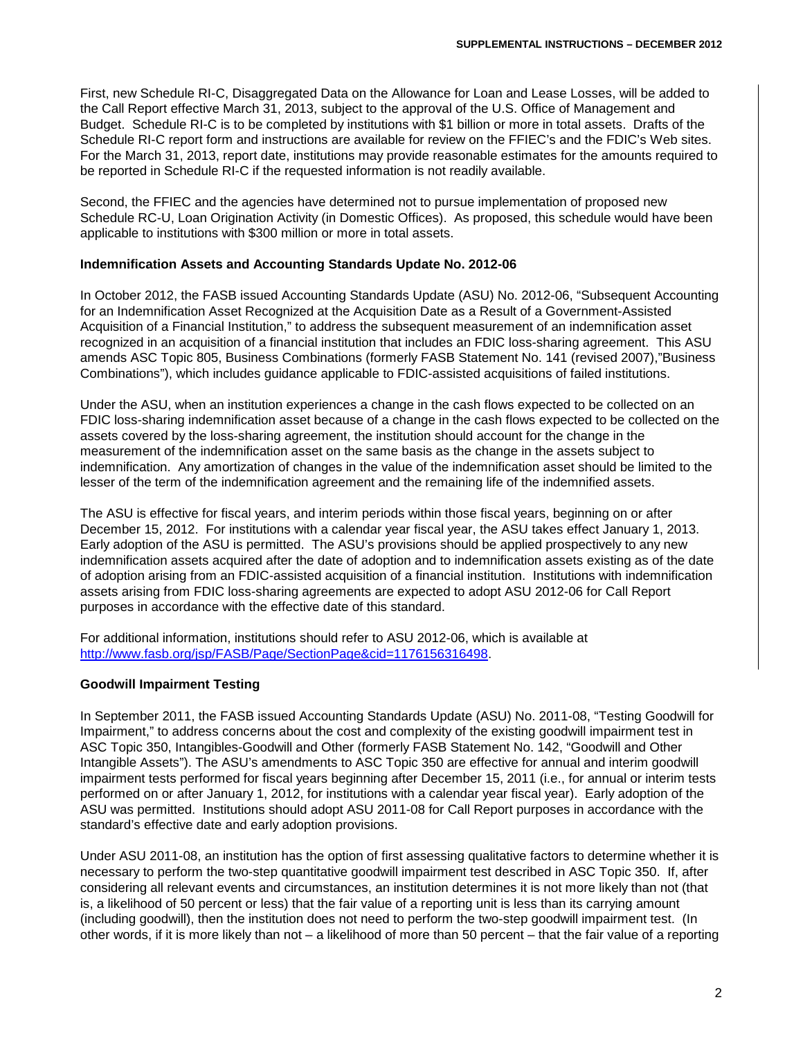First, new Schedule RI-C, Disaggregated Data on the Allowance for Loan and Lease Losses, will be added to the Call Report effective March 31, 2013, subject to the approval of the U.S. Office of Management and Budget. Schedule RI-C is to be completed by institutions with \$1 billion or more in total assets. Drafts of the Schedule RI-C report form and instructions are available for review on the FFIEC's and the FDIC's Web sites. For the March 31, 2013, report date, institutions may provide reasonable estimates for the amounts required to be reported in Schedule RI-C if the requested information is not readily available.

Second, the FFIEC and the agencies have determined not to pursue implementation of proposed new Schedule RC-U, Loan Origination Activity (in Domestic Offices). As proposed, this schedule would have been applicable to institutions with \$300 million or more in total assets.

#### **Indemnification Assets and Accounting Standards Update No. 2012-06**

In October 2012, the FASB issued Accounting Standards Update (ASU) No. 2012-06, "Subsequent Accounting for an Indemnification Asset Recognized at the Acquisition Date as a Result of a Government-Assisted Acquisition of a Financial Institution," to address the subsequent measurement of an indemnification asset recognized in an acquisition of a financial institution that includes an FDIC loss-sharing agreement. This ASU amends ASC Topic 805, Business Combinations (formerly FASB Statement No. 141 (revised 2007),"Business Combinations"), which includes guidance applicable to FDIC-assisted acquisitions of failed institutions.

Under the ASU, when an institution experiences a change in the cash flows expected to be collected on an FDIC loss-sharing indemnification asset because of a change in the cash flows expected to be collected on the assets covered by the loss-sharing agreement, the institution should account for the change in the measurement of the indemnification asset on the same basis as the change in the assets subject to indemnification. Any amortization of changes in the value of the indemnification asset should be limited to the lesser of the term of the indemnification agreement and the remaining life of the indemnified assets.

The ASU is effective for fiscal years, and interim periods within those fiscal years, beginning on or after December 15, 2012. For institutions with a calendar year fiscal year, the ASU takes effect January 1, 2013. Early adoption of the ASU is permitted. The ASU's provisions should be applied prospectively to any new indemnification assets acquired after the date of adoption and to indemnification assets existing as of the date of adoption arising from an FDIC-assisted acquisition of a financial institution. Institutions with indemnification assets arising from FDIC loss-sharing agreements are expected to adopt ASU 2012-06 for Call Report purposes in accordance with the effective date of this standard.

For additional information, institutions should refer to ASU 2012-06, which is available at [http://www.fasb.org/jsp/FASB/Page/SectionPage&cid=1176156316498.](http://www.fasb.org/jsp/FASB/Page/SectionPage&cid=1176156316498)

#### **Goodwill Impairment Testing**

In September 2011, the FASB issued Accounting Standards Update (ASU) No. 2011-08, "Testing Goodwill for Impairment," to address concerns about the cost and complexity of the existing goodwill impairment test in ASC Topic 350, Intangibles-Goodwill and Other (formerly FASB Statement No. 142, "Goodwill and Other Intangible Assets"). The ASU's amendments to ASC Topic 350 are effective for annual and interim goodwill impairment tests performed for fiscal years beginning after December 15, 2011 (i.e., for annual or interim tests performed on or after January 1, 2012, for institutions with a calendar year fiscal year). Early adoption of the ASU was permitted. Institutions should adopt ASU 2011-08 for Call Report purposes in accordance with the standard's effective date and early adoption provisions.

Under ASU 2011-08, an institution has the option of first assessing qualitative factors to determine whether it is necessary to perform the two-step quantitative goodwill impairment test described in ASC Topic 350. If, after considering all relevant events and circumstances, an institution determines it is not more likely than not (that is, a likelihood of 50 percent or less) that the fair value of a reporting unit is less than its carrying amount (including goodwill), then the institution does not need to perform the two-step goodwill impairment test. (In other words, if it is more likely than not – a likelihood of more than 50 percent – that the fair value of a reporting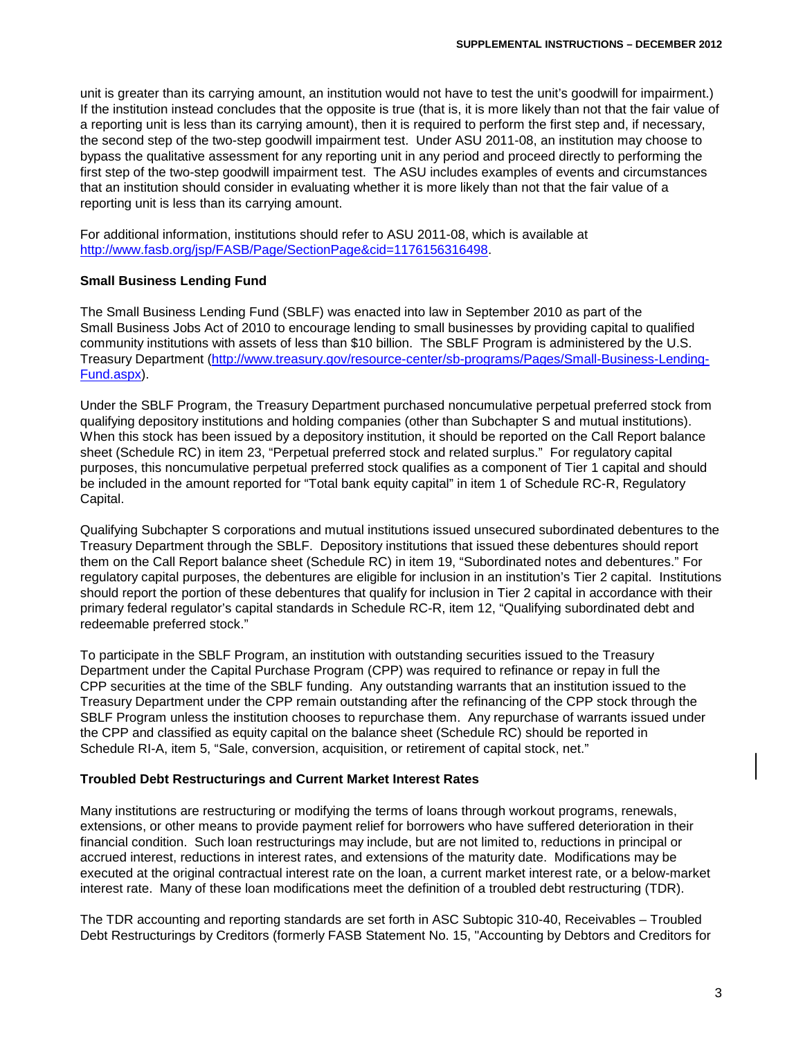unit is greater than its carrying amount, an institution would not have to test the unit's goodwill for impairment.) If the institution instead concludes that the opposite is true (that is, it is more likely than not that the fair value of a reporting unit is less than its carrying amount), then it is required to perform the first step and, if necessary, the second step of the two-step goodwill impairment test. Under ASU 2011-08, an institution may choose to bypass the qualitative assessment for any reporting unit in any period and proceed directly to performing the first step of the two-step goodwill impairment test. The ASU includes examples of events and circumstances that an institution should consider in evaluating whether it is more likely than not that the fair value of a reporting unit is less than its carrying amount.

For additional information, institutions should refer to ASU 2011-08, which is available at [http://www.fasb.org/jsp/FASB/Page/SectionPage&cid=1176156316498.](http://www.fasb.org/jsp/FASB/Page/SectionPage&cid=1176156316498)

#### **Small Business Lending Fund**

The Small Business Lending Fund (SBLF) was enacted into law in September 2010 as part of the Small Business Jobs Act of 2010 to encourage lending to small businesses by providing capital to qualified community institutions with assets of less than \$10 billion. The SBLF Program is administered by the U.S. Treasury Department [\(http://www.treasury.gov/resource-center/sb-programs/Pages/Small-Business-Lending-](http://www.treasury.gov/resource-center/sb-programs/Pages/Small-Business-Lending-Fund.aspx)[Fund.aspx\)](http://www.treasury.gov/resource-center/sb-programs/Pages/Small-Business-Lending-Fund.aspx).

Under the SBLF Program, the Treasury Department purchased noncumulative perpetual preferred stock from qualifying depository institutions and holding companies (other than Subchapter S and mutual institutions). When this stock has been issued by a depository institution, it should be reported on the Call Report balance sheet (Schedule RC) in item 23, "Perpetual preferred stock and related surplus." For regulatory capital purposes, this noncumulative perpetual preferred stock qualifies as a component of Tier 1 capital and should be included in the amount reported for "Total bank equity capital" in item 1 of Schedule RC-R, Regulatory Capital.

Qualifying Subchapter S corporations and mutual institutions issued unsecured subordinated debentures to the Treasury Department through the SBLF. Depository institutions that issued these debentures should report them on the Call Report balance sheet (Schedule RC) in item 19, "Subordinated notes and debentures." For regulatory capital purposes, the debentures are eligible for inclusion in an institution's Tier 2 capital. Institutions should report the portion of these debentures that qualify for inclusion in Tier 2 capital in accordance with their primary federal regulator's capital standards in Schedule RC-R, item 12, "Qualifying subordinated debt and redeemable preferred stock."

To participate in the SBLF Program, an institution with outstanding securities issued to the Treasury Department under the Capital Purchase Program (CPP) was required to refinance or repay in full the CPP securities at the time of the SBLF funding. Any outstanding warrants that an institution issued to the Treasury Department under the CPP remain outstanding after the refinancing of the CPP stock through the SBLF Program unless the institution chooses to repurchase them. Any repurchase of warrants issued under the CPP and classified as equity capital on the balance sheet (Schedule RC) should be reported in Schedule RI-A, item 5, "Sale, conversion, acquisition, or retirement of capital stock, net."

## **Troubled Debt Restructurings and Current Market Interest Rates**

Many institutions are restructuring or modifying the terms of loans through workout programs, renewals, extensions, or other means to provide payment relief for borrowers who have suffered deterioration in their financial condition. Such loan restructurings may include, but are not limited to, reductions in principal or accrued interest, reductions in interest rates, and extensions of the maturity date. Modifications may be executed at the original contractual interest rate on the loan, a current market interest rate, or a below-market interest rate. Many of these loan modifications meet the definition of a troubled debt restructuring (TDR).

The TDR accounting and reporting standards are set forth in ASC Subtopic 310-40, Receivables – Troubled Debt Restructurings by Creditors (formerly FASB Statement No. 15, "Accounting by Debtors and Creditors for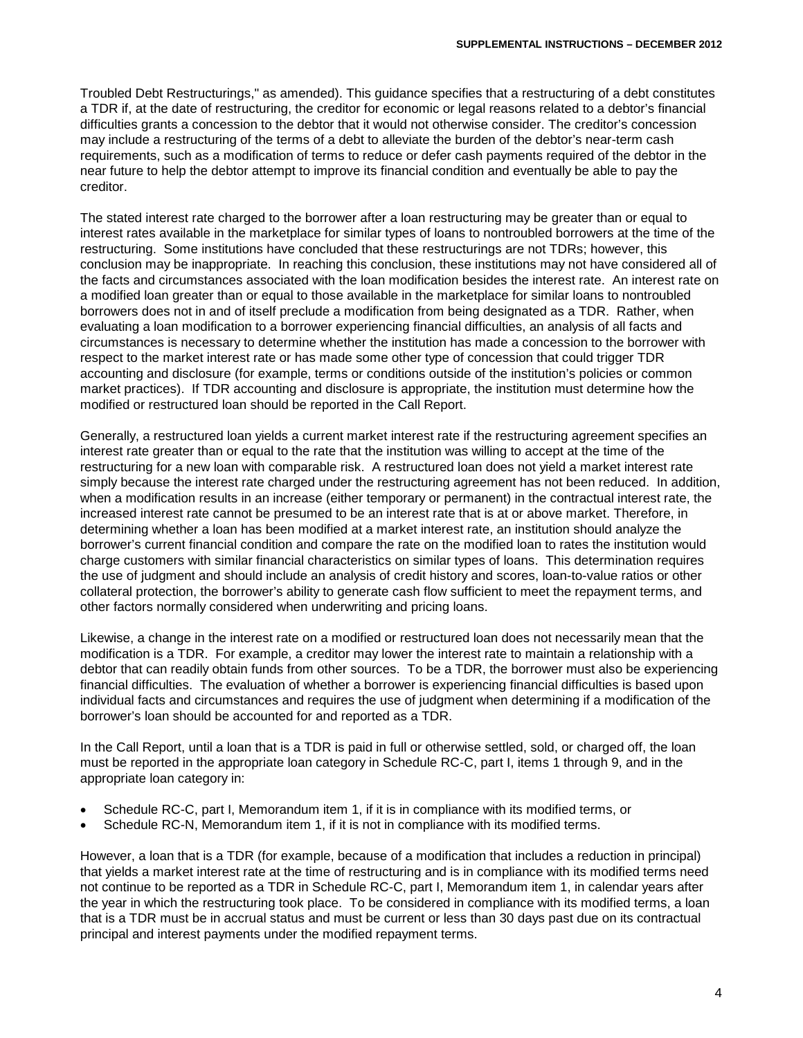Troubled Debt Restructurings," as amended). This guidance specifies that a restructuring of a debt constitutes a TDR if, at the date of restructuring, the creditor for economic or legal reasons related to a debtor's financial difficulties grants a concession to the debtor that it would not otherwise consider. The creditor's concession may include a restructuring of the terms of a debt to alleviate the burden of the debtor's near-term cash requirements, such as a modification of terms to reduce or defer cash payments required of the debtor in the near future to help the debtor attempt to improve its financial condition and eventually be able to pay the creditor.

The stated interest rate charged to the borrower after a loan restructuring may be greater than or equal to interest rates available in the marketplace for similar types of loans to nontroubled borrowers at the time of the restructuring. Some institutions have concluded that these restructurings are not TDRs; however, this conclusion may be inappropriate. In reaching this conclusion, these institutions may not have considered all of the facts and circumstances associated with the loan modification besides the interest rate. An interest rate on a modified loan greater than or equal to those available in the marketplace for similar loans to nontroubled borrowers does not in and of itself preclude a modification from being designated as a TDR. Rather, when evaluating a loan modification to a borrower experiencing financial difficulties, an analysis of all facts and circumstances is necessary to determine whether the institution has made a concession to the borrower with respect to the market interest rate or has made some other type of concession that could trigger TDR accounting and disclosure (for example, terms or conditions outside of the institution's policies or common market practices). If TDR accounting and disclosure is appropriate, the institution must determine how the modified or restructured loan should be reported in the Call Report.

Generally, a restructured loan yields a current market interest rate if the restructuring agreement specifies an interest rate greater than or equal to the rate that the institution was willing to accept at the time of the restructuring for a new loan with comparable risk. A restructured loan does not yield a market interest rate simply because the interest rate charged under the restructuring agreement has not been reduced. In addition, when a modification results in an increase (either temporary or permanent) in the contractual interest rate, the increased interest rate cannot be presumed to be an interest rate that is at or above market. Therefore, in determining whether a loan has been modified at a market interest rate, an institution should analyze the borrower's current financial condition and compare the rate on the modified loan to rates the institution would charge customers with similar financial characteristics on similar types of loans. This determination requires the use of judgment and should include an analysis of credit history and scores, loan-to-value ratios or other collateral protection, the borrower's ability to generate cash flow sufficient to meet the repayment terms, and other factors normally considered when underwriting and pricing loans.

Likewise, a change in the interest rate on a modified or restructured loan does not necessarily mean that the modification is a TDR. For example, a creditor may lower the interest rate to maintain a relationship with a debtor that can readily obtain funds from other sources. To be a TDR, the borrower must also be experiencing financial difficulties. The evaluation of whether a borrower is experiencing financial difficulties is based upon individual facts and circumstances and requires the use of judgment when determining if a modification of the borrower's loan should be accounted for and reported as a TDR.

In the Call Report, until a loan that is a TDR is paid in full or otherwise settled, sold, or charged off, the loan must be reported in the appropriate loan category in Schedule RC-C, part I, items 1 through 9, and in the appropriate loan category in:

- Schedule RC-C, part I, Memorandum item 1, if it is in compliance with its modified terms, or
- Schedule RC-N, Memorandum item 1, if it is not in compliance with its modified terms.

However, a loan that is a TDR (for example, because of a modification that includes a reduction in principal) that yields a market interest rate at the time of restructuring and is in compliance with its modified terms need not continue to be reported as a TDR in Schedule RC-C, part I, Memorandum item 1, in calendar years after the year in which the restructuring took place. To be considered in compliance with its modified terms, a loan that is a TDR must be in accrual status and must be current or less than 30 days past due on its contractual principal and interest payments under the modified repayment terms.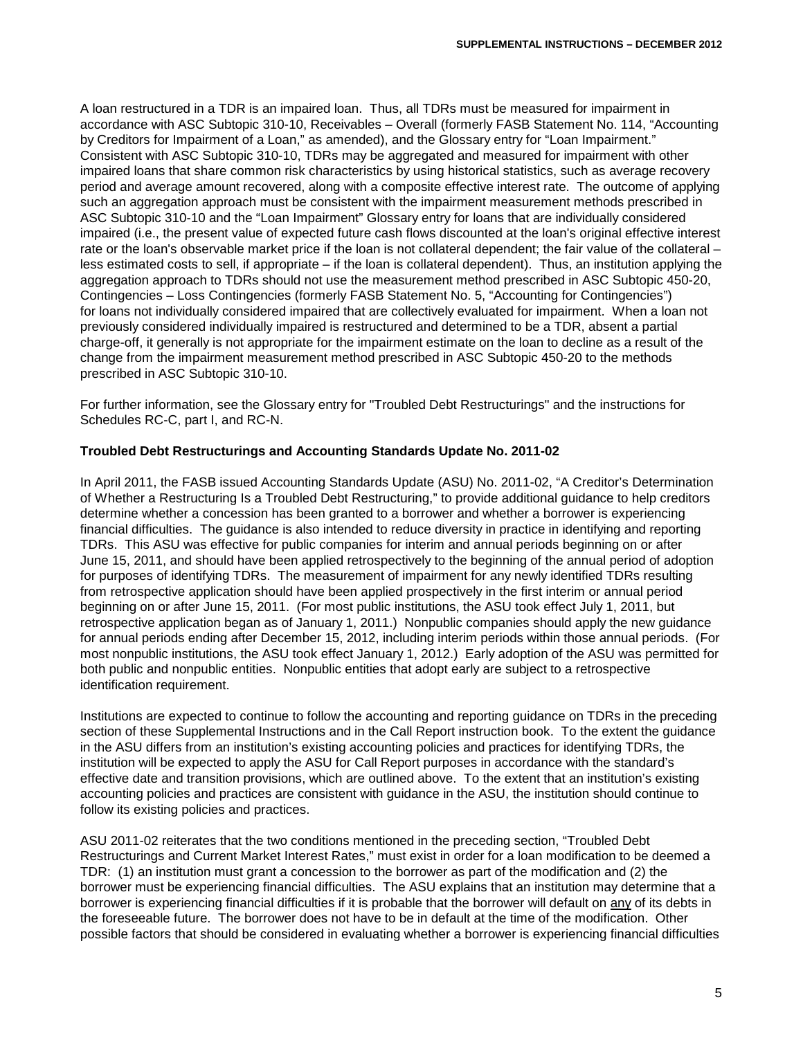A loan restructured in a TDR is an impaired loan. Thus, all TDRs must be measured for impairment in accordance with ASC Subtopic 310-10, Receivables – Overall (formerly FASB Statement No. 114, "Accounting by Creditors for Impairment of a Loan," as amended), and the Glossary entry for "Loan Impairment." Consistent with ASC Subtopic 310-10, TDRs may be aggregated and measured for impairment with other impaired loans that share common risk characteristics by using historical statistics, such as average recovery period and average amount recovered, along with a composite effective interest rate. The outcome of applying such an aggregation approach must be consistent with the impairment measurement methods prescribed in ASC Subtopic 310-10 and the "Loan Impairment" Glossary entry for loans that are individually considered impaired (i.e., the present value of expected future cash flows discounted at the loan's original effective interest rate or the loan's observable market price if the loan is not collateral dependent; the fair value of the collateral – less estimated costs to sell, if appropriate – if the loan is collateral dependent). Thus, an institution applying the aggregation approach to TDRs should not use the measurement method prescribed in ASC Subtopic 450-20, Contingencies – Loss Contingencies (formerly FASB Statement No. 5, "Accounting for Contingencies") for loans not individually considered impaired that are collectively evaluated for impairment. When a loan not previously considered individually impaired is restructured and determined to be a TDR, absent a partial charge-off, it generally is not appropriate for the impairment estimate on the loan to decline as a result of the change from the impairment measurement method prescribed in ASC Subtopic 450-20 to the methods prescribed in ASC Subtopic 310-10.

For further information, see the Glossary entry for "Troubled Debt Restructurings" and the instructions for Schedules RC-C, part I, and RC-N.

# **Troubled Debt Restructurings and Accounting Standards Update No. 2011-02**

In April 2011, the FASB issued Accounting Standards Update (ASU) No. 2011-02, "A Creditor's Determination of Whether a Restructuring Is a Troubled Debt Restructuring," to provide additional guidance to help creditors determine whether a concession has been granted to a borrower and whether a borrower is experiencing financial difficulties. The guidance is also intended to reduce diversity in practice in identifying and reporting TDRs. This ASU was effective for public companies for interim and annual periods beginning on or after June 15, 2011, and should have been applied retrospectively to the beginning of the annual period of adoption for purposes of identifying TDRs. The measurement of impairment for any newly identified TDRs resulting from retrospective application should have been applied prospectively in the first interim or annual period beginning on or after June 15, 2011. (For most public institutions, the ASU took effect July 1, 2011, but retrospective application began as of January 1, 2011.) Nonpublic companies should apply the new guidance for annual periods ending after December 15, 2012, including interim periods within those annual periods. (For most nonpublic institutions, the ASU took effect January 1, 2012.) Early adoption of the ASU was permitted for both public and nonpublic entities. Nonpublic entities that adopt early are subject to a retrospective identification requirement.

Institutions are expected to continue to follow the accounting and reporting guidance on TDRs in the preceding section of these Supplemental Instructions and in the Call Report instruction book. To the extent the guidance in the ASU differs from an institution's existing accounting policies and practices for identifying TDRs, the institution will be expected to apply the ASU for Call Report purposes in accordance with the standard's effective date and transition provisions, which are outlined above. To the extent that an institution's existing accounting policies and practices are consistent with guidance in the ASU, the institution should continue to follow its existing policies and practices.

ASU 2011-02 reiterates that the two conditions mentioned in the preceding section, "Troubled Debt Restructurings and Current Market Interest Rates," must exist in order for a loan modification to be deemed a TDR: (1) an institution must grant a concession to the borrower as part of the modification and (2) the borrower must be experiencing financial difficulties. The ASU explains that an institution may determine that a borrower is experiencing financial difficulties if it is probable that the borrower will default on any of its debts in the foreseeable future. The borrower does not have to be in default at the time of the modification. Other possible factors that should be considered in evaluating whether a borrower is experiencing financial difficulties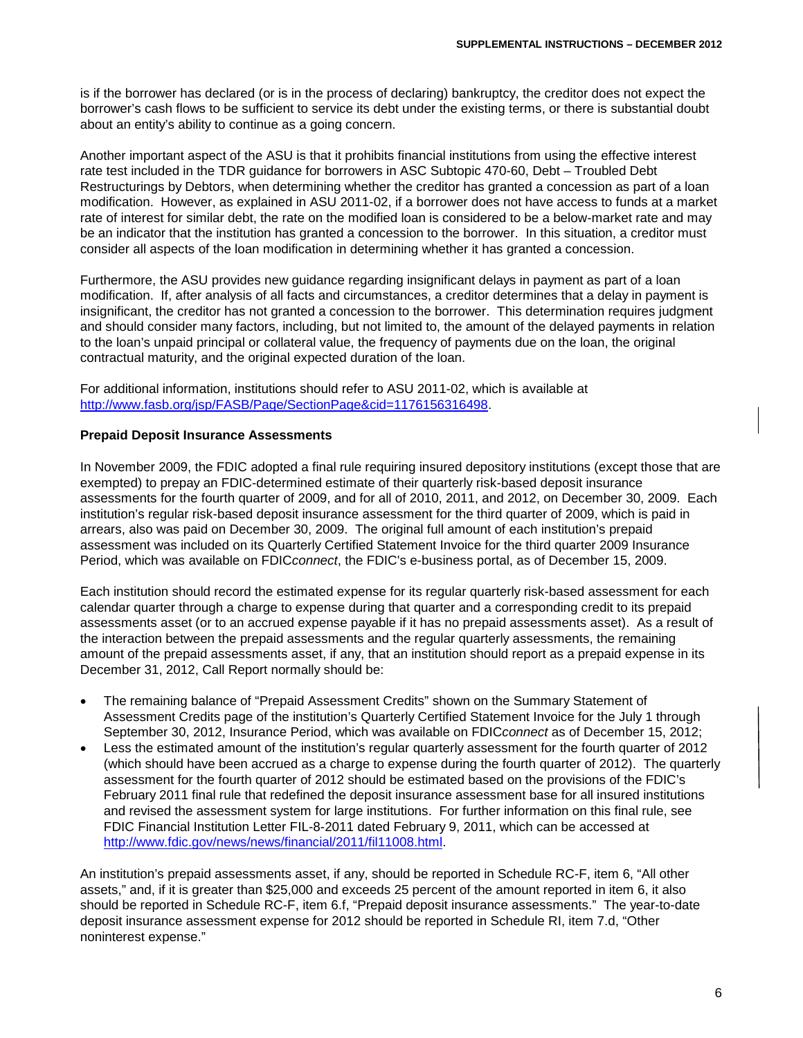is if the borrower has declared (or is in the process of declaring) bankruptcy, the creditor does not expect the borrower's cash flows to be sufficient to service its debt under the existing terms, or there is substantial doubt about an entity's ability to continue as a going concern.

Another important aspect of the ASU is that it prohibits financial institutions from using the effective interest rate test included in the TDR guidance for borrowers in ASC Subtopic 470-60, Debt – Troubled Debt Restructurings by Debtors, when determining whether the creditor has granted a concession as part of a loan modification. However, as explained in ASU 2011-02, if a borrower does not have access to funds at a market rate of interest for similar debt, the rate on the modified loan is considered to be a below-market rate and may be an indicator that the institution has granted a concession to the borrower. In this situation, a creditor must consider all aspects of the loan modification in determining whether it has granted a concession.

Furthermore, the ASU provides new guidance regarding insignificant delays in payment as part of a loan modification. If, after analysis of all facts and circumstances, a creditor determines that a delay in payment is insignificant, the creditor has not granted a concession to the borrower. This determination requires judgment and should consider many factors, including, but not limited to, the amount of the delayed payments in relation to the loan's unpaid principal or collateral value, the frequency of payments due on the loan, the original contractual maturity, and the original expected duration of the loan.

For additional information, institutions should refer to ASU 2011-02, which is available at [http://www.fasb.org/jsp/FASB/Page/SectionPage&cid=1176156316498.](http://www.fasb.org/jsp/FASB/Page/SectionPage&cid=1176156316498)

#### **Prepaid Deposit Insurance Assessments**

In November 2009, the FDIC adopted a final rule requiring insured depository institutions (except those that are exempted) to prepay an FDIC-determined estimate of their quarterly risk-based deposit insurance assessments for the fourth quarter of 2009, and for all of 2010, 2011, and 2012, on December 30, 2009. Each institution's regular risk-based deposit insurance assessment for the third quarter of 2009, which is paid in arrears, also was paid on December 30, 2009. The original full amount of each institution's prepaid assessment was included on its Quarterly Certified Statement Invoice for the third quarter 2009 Insurance Period, which was available on FDIC*connect*, the FDIC's e-business portal, as of December 15, 2009.

Each institution should record the estimated expense for its regular quarterly risk-based assessment for each calendar quarter through a charge to expense during that quarter and a corresponding credit to its prepaid assessments asset (or to an accrued expense payable if it has no prepaid assessments asset). As a result of the interaction between the prepaid assessments and the regular quarterly assessments, the remaining amount of the prepaid assessments asset, if any, that an institution should report as a prepaid expense in its December 31, 2012, Call Report normally should be:

- The remaining balance of "Prepaid Assessment Credits" shown on the Summary Statement of Assessment Credits page of the institution's Quarterly Certified Statement Invoice for the July 1 through September 30, 2012, Insurance Period, which was available on FDIC*connect* as of December 15, 2012;
- Less the estimated amount of the institution's regular quarterly assessment for the fourth quarter of 2012 (which should have been accrued as a charge to expense during the fourth quarter of 2012). The quarterly assessment for the fourth quarter of 2012 should be estimated based on the provisions of the FDIC's February 2011 final rule that redefined the deposit insurance assessment base for all insured institutions and revised the assessment system for large institutions. For further information on this final rule, see FDIC Financial Institution Letter FIL-8-2011 dated February 9, 2011, which can be accessed at [http://www.fdic.gov/news/news/financial/2011/fil11008.html.](http://www.fdic.gov/news/news/financial/2011/fil11008.html)

An institution's prepaid assessments asset, if any, should be reported in Schedule RC-F, item 6, "All other assets," and, if it is greater than \$25,000 and exceeds 25 percent of the amount reported in item 6, it also should be reported in Schedule RC-F, item 6.f, "Prepaid deposit insurance assessments." The year-to-date deposit insurance assessment expense for 2012 should be reported in Schedule RI, item 7.d, "Other noninterest expense."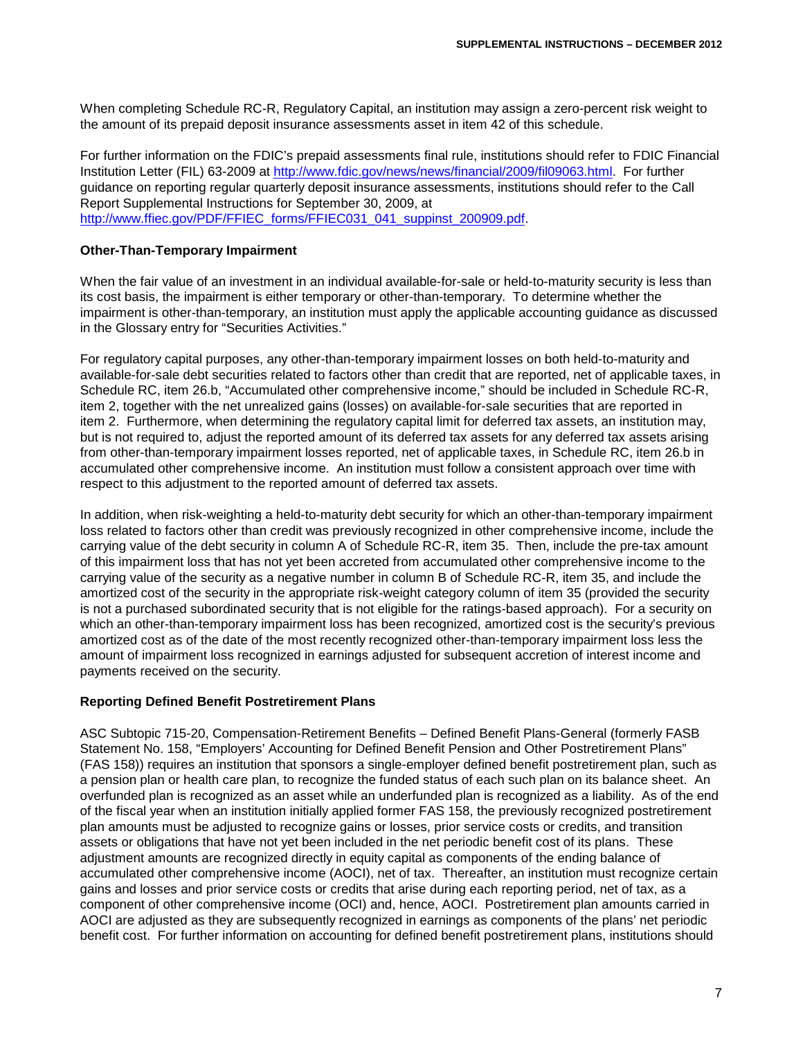When completing Schedule RC-R, Regulatory Capital, an institution may assign a zero-percent risk weight to the amount of its prepaid deposit insurance assessments asset in item 42 of this schedule.

For further information on the FDIC's prepaid assessments final rule, institutions should refer to FDIC Financial Institution Letter (FIL) 63-2009 at [http://www.fdic.gov/news/news/financial/2009/fil09063.html.](http://www.fdic.gov/news/news/financial/2009/fil09063.html) For further guidance on reporting regular quarterly deposit insurance assessments, institutions should refer to the Call Report Supplemental Instructions for September 30, 2009, at [http://www.ffiec.gov/PDF/FFIEC\\_forms/FFIEC031\\_041\\_suppinst\\_200909.pdf.](http://www.ffiec.gov/PDF/FFIEC_forms/FFIEC031_041_suppinst_200909.pdf)

## **Other-Than-Temporary Impairment**

When the fair value of an investment in an individual available-for-sale or held-to-maturity security is less than its cost basis, the impairment is either temporary or other-than-temporary. To determine whether the impairment is other-than-temporary, an institution must apply the applicable accounting guidance as discussed in the Glossary entry for "Securities Activities."

For regulatory capital purposes, any other-than-temporary impairment losses on both held-to-maturity and available-for-sale debt securities related to factors other than credit that are reported, net of applicable taxes, in Schedule RC, item 26.b, "Accumulated other comprehensive income," should be included in Schedule RC-R, item 2, together with the net unrealized gains (losses) on available-for-sale securities that are reported in item 2. Furthermore, when determining the regulatory capital limit for deferred tax assets, an institution may, but is not required to, adjust the reported amount of its deferred tax assets for any deferred tax assets arising from other-than-temporary impairment losses reported, net of applicable taxes, in Schedule RC, item 26.b in accumulated other comprehensive income. An institution must follow a consistent approach over time with respect to this adjustment to the reported amount of deferred tax assets.

In addition, when risk-weighting a held-to-maturity debt security for which an other-than-temporary impairment loss related to factors other than credit was previously recognized in other comprehensive income, include the carrying value of the debt security in column A of Schedule RC-R, item 35. Then, include the pre-tax amount of this impairment loss that has not yet been accreted from accumulated other comprehensive income to the carrying value of the security as a negative number in column B of Schedule RC-R, item 35, and include the amortized cost of the security in the appropriate risk-weight category column of item 35 (provided the security is not a purchased subordinated security that is not eligible for the ratings-based approach). For a security on which an other-than-temporary impairment loss has been recognized, amortized cost is the security's previous amortized cost as of the date of the most recently recognized other-than-temporary impairment loss less the amount of impairment loss recognized in earnings adjusted for subsequent accretion of interest income and payments received on the security.

#### **Reporting Defined Benefit Postretirement Plans**

ASC Subtopic 715-20, Compensation-Retirement Benefits – Defined Benefit Plans-General (formerly FASB Statement No. 158, "Employers' Accounting for Defined Benefit Pension and Other Postretirement Plans" (FAS 158)) requires an institution that sponsors a single-employer defined benefit postretirement plan, such as a pension plan or health care plan, to recognize the funded status of each such plan on its balance sheet. An overfunded plan is recognized as an asset while an underfunded plan is recognized as a liability. As of the end of the fiscal year when an institution initially applied former FAS 158, the previously recognized postretirement plan amounts must be adjusted to recognize gains or losses, prior service costs or credits, and transition assets or obligations that have not yet been included in the net periodic benefit cost of its plans. These adjustment amounts are recognized directly in equity capital as components of the ending balance of accumulated other comprehensive income (AOCI), net of tax. Thereafter, an institution must recognize certain gains and losses and prior service costs or credits that arise during each reporting period, net of tax, as a component of other comprehensive income (OCI) and, hence, AOCI. Postretirement plan amounts carried in AOCI are adjusted as they are subsequently recognized in earnings as components of the plans' net periodic benefit cost. For further information on accounting for defined benefit postretirement plans, institutions should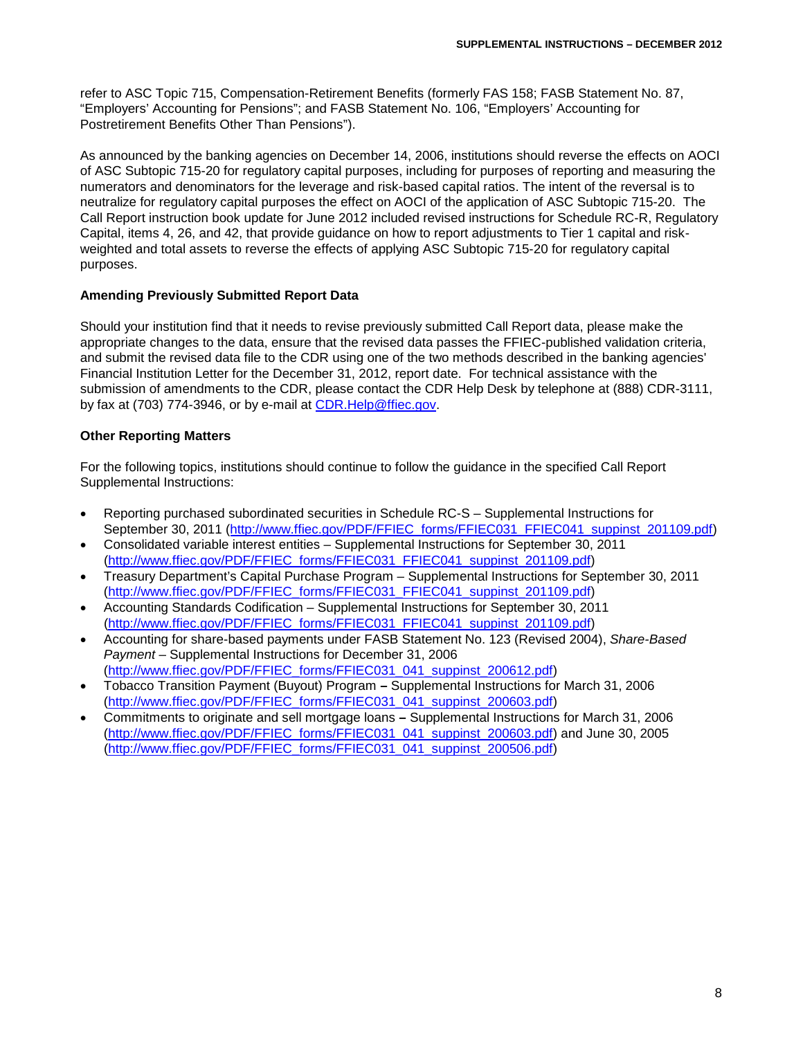refer to ASC Topic 715, Compensation-Retirement Benefits (formerly FAS 158; FASB Statement No. 87, "Employers' Accounting for Pensions"; and FASB Statement No. 106, "Employers' Accounting for Postretirement Benefits Other Than Pensions").

As announced by the banking agencies on December 14, 2006, institutions should reverse the effects on AOCI of ASC Subtopic 715-20 for regulatory capital purposes, including for purposes of reporting and measuring the numerators and denominators for the leverage and risk-based capital ratios. The intent of the reversal is to neutralize for regulatory capital purposes the effect on AOCI of the application of ASC Subtopic 715-20. The Call Report instruction book update for June 2012 included revised instructions for Schedule RC-R, Regulatory Capital, items 4, 26, and 42, that provide guidance on how to report adjustments to Tier 1 capital and riskweighted and total assets to reverse the effects of applying ASC Subtopic 715-20 for regulatory capital purposes.

#### **Amending Previously Submitted Report Data**

Should your institution find that it needs to revise previously submitted Call Report data, please make the appropriate changes to the data, ensure that the revised data passes the FFIEC-published validation criteria, and submit the revised data file to the CDR using one of the two methods described in the banking agencies' Financial Institution Letter for the December 31, 2012, report date. For technical assistance with the submission of amendments to the CDR, please contact the CDR Help Desk by telephone at (888) CDR-3111, by fax at (703) 774-3946, or by e-mail at CDR. Help@ffiec.gov.

#### **Other Reporting Matters**

For the following topics, institutions should continue to follow the guidance in the specified Call Report Supplemental Instructions:

- Reporting purchased subordinated securities in Schedule RC-S Supplemental Instructions for September 30, 2011 [\(http://www.ffiec.gov/PDF/FFIEC\\_forms/FFIEC031\\_FFIEC041\\_suppinst\\_201109.pdf\)](http://www.ffiec.gov/PDF/FFIEC_forms/FFIEC031_FFIEC041_suppinst_201109.pdf)
- Consolidated variable interest entities Supplemental Instructions for September 30, 2011 [\(http://www.ffiec.gov/PDF/FFIEC\\_forms/FFIEC031\\_FFIEC041\\_suppinst\\_201109.pdf\)](http://www.ffiec.gov/PDF/FFIEC_forms/FFIEC031_FFIEC041_suppinst_201109.pdf)
- Treasury Department's Capital Purchase Program Supplemental Instructions for September 30, 2011 [\(http://www.ffiec.gov/PDF/FFIEC\\_forms/FFIEC031\\_FFIEC041\\_suppinst\\_201109.pdf\)](http://www.ffiec.gov/PDF/FFIEC_forms/FFIEC031_FFIEC041_suppinst_201109.pdf)
- Accounting Standards Codification Supplemental Instructions for September 30, 2011 [\(http://www.ffiec.gov/PDF/FFIEC\\_forms/FFIEC031\\_FFIEC041\\_suppinst\\_201109.pdf\)](http://www.ffiec.gov/PDF/FFIEC_forms/FFIEC031_FFIEC041_suppinst_201109.pdf)
- Accounting for share-based payments under FASB Statement No. 123 (Revised 2004), *Share-Based Payment* – Supplemental Instructions for December 31, 2006 [\(http://www.ffiec.gov/PDF/FFIEC\\_forms/FFIEC031\\_041\\_suppinst\\_200612.pdf\)](http://www.ffiec.gov/PDF/FFIEC_forms/FFIEC031_041_suppinst_200612.pdf)
- Tobacco Transition Payment (Buyout) Program **–** Supplemental Instructions for March 31, 2006 [\(http://www.ffiec.gov/PDF/FFIEC\\_forms/FFIEC031\\_041\\_suppinst\\_200603.pdf\)](http://www.ffiec.gov/PDF/FFIEC_forms/FFIEC031_041_suppinst_200603.pdf)
- Commitments to originate and sell mortgage loans **–** Supplemental Instructions for March 31, 2006 [\(http://www.ffiec.gov/PDF/FFIEC\\_forms/FFIEC031\\_041\\_suppinst\\_200603.pdf\)](http://www.ffiec.gov/PDF/FFIEC_forms/FFIEC031_041_suppinst_200603.pdf) and June 30, 2005 [\(http://www.ffiec.gov/PDF/FFIEC\\_forms/FFIEC031\\_041\\_suppinst\\_200506.pdf\)](http://www.ffiec.gov/PDF/FFIEC_forms/FFIEC031_041_suppinst_200506.pdf)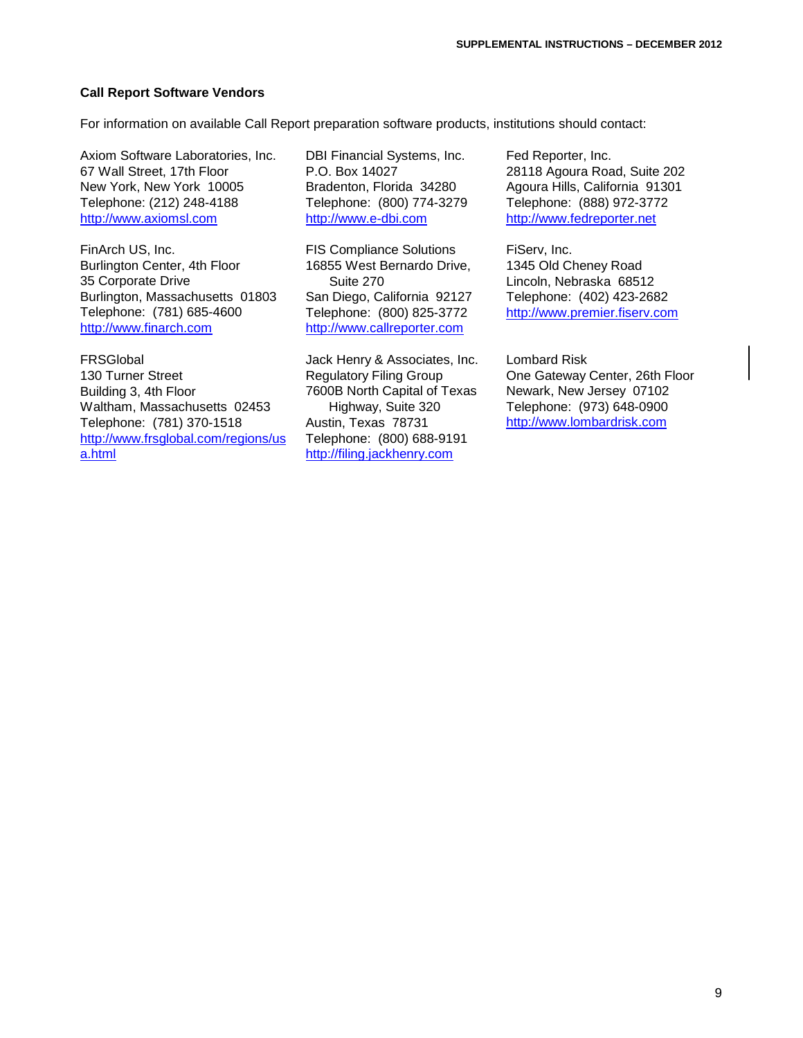## **Call Report Software Vendors**

For information on available Call Report preparation software products, institutions should contact:

Axiom Software Laboratories, Inc. 67 Wall Street, 17th Floor New York, New York 10005 Telephone: (212) 248-4188 [http://www.axiomsl.com](http://www.axiomsl.com/)

FinArch US, Inc. Burlington Center, 4th Floor 35 Corporate Drive Burlington, Massachusetts 01803 Telephone: (781) 685-4600 [http://www.finarch.com](http://www.finarch.com/)

FRSGlobal 130 Turner Street Building 3, 4th Floor Waltham, Massachusetts 02453 Telephone: (781) 370-1518 [http://www.frsglobal.com/regions/us](http://www.frsglobal.com/regions/usa.html) [a.html](http://www.frsglobal.com/regions/usa.html)

DBI Financial Systems, Inc. P.O. Box 14027 Bradenton, Florida 34280 Telephone: (800) 774-3279 [http://www.e-dbi.com](http://www.e-dbi.com/)

FIS Compliance Solutions 16855 West Bernardo Drive, Suite 270 San Diego, California 92127 Telephone: (800) 825-3772 [http://www.callreporter.com](http://www.callreporter.com/)

Jack Henry & Associates, Inc. Regulatory Filing Group 7600B North Capital of Texas Highway, Suite 320 Austin, Texas 78731 Telephone: (800) 688-9191 [http://filing.jackhenry.com](http://filing.jackhenry.com/)

Fed Reporter, Inc. 28118 Agoura Road, Suite 202 Agoura Hills, California 91301 Telephone: (888) 972-3772 [http://www.fedreporter.net](http://www.fedreporter.net/)

FiServ, Inc. 1345 Old Cheney Road Lincoln, Nebraska 68512 Telephone: (402) 423-2682 [http://www.premier.fiserv.com](http://www.premier.fiserv.com/)

Lombard Risk One Gateway Center, 26th Floor Newark, New Jersey 07102 Telephone: (973) 648-0900 [http://www.lombardrisk.com](http://www.lombardrisk.com/)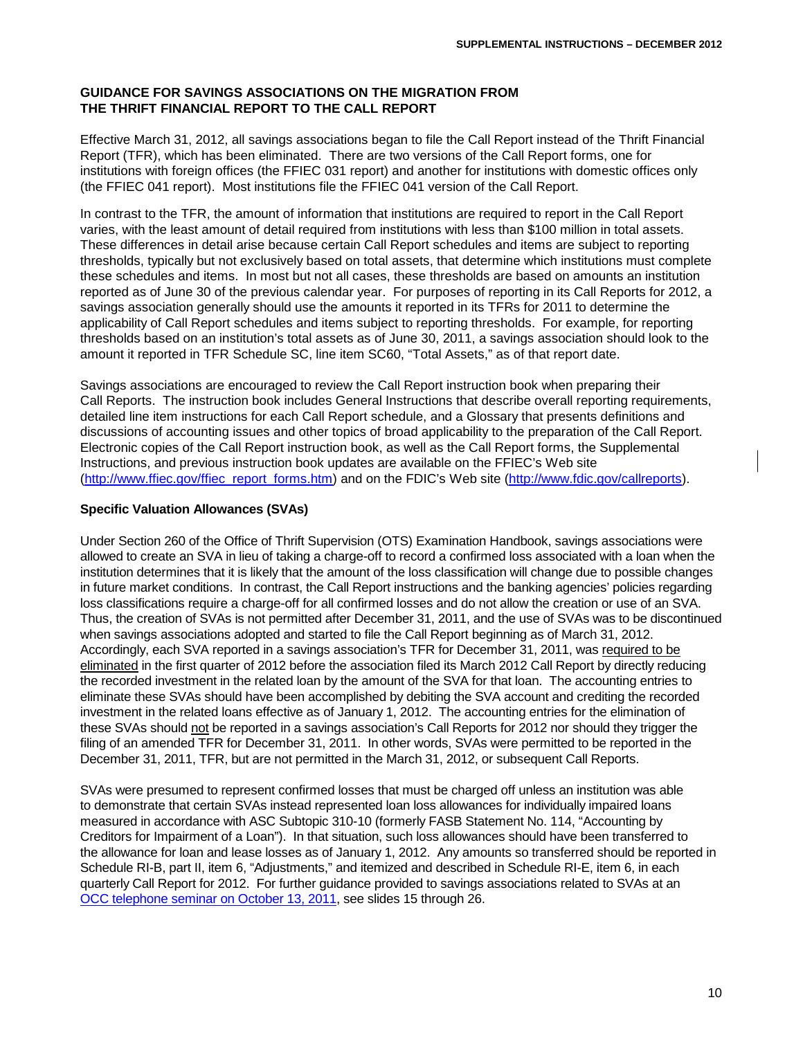# **GUIDANCE FOR SAVINGS ASSOCIATIONS ON THE MIGRATION FROM THE THRIFT FINANCIAL REPORT TO THE CALL REPORT**

Effective March 31, 2012, all savings associations began to file the Call Report instead of the Thrift Financial Report (TFR), which has been eliminated. There are two versions of the Call Report forms, one for institutions with foreign offices (the FFIEC 031 report) and another for institutions with domestic offices only (the FFIEC 041 report). Most institutions file the FFIEC 041 version of the Call Report.

In contrast to the TFR, the amount of information that institutions are required to report in the Call Report varies, with the least amount of detail required from institutions with less than \$100 million in total assets. These differences in detail arise because certain Call Report schedules and items are subject to reporting thresholds, typically but not exclusively based on total assets, that determine which institutions must complete these schedules and items. In most but not all cases, these thresholds are based on amounts an institution reported as of June 30 of the previous calendar year. For purposes of reporting in its Call Reports for 2012, a savings association generally should use the amounts it reported in its TFRs for 2011 to determine the applicability of Call Report schedules and items subject to reporting thresholds. For example, for reporting thresholds based on an institution's total assets as of June 30, 2011, a savings association should look to the amount it reported in TFR Schedule SC, line item SC60, "Total Assets," as of that report date.

Savings associations are encouraged to review the Call Report instruction book when preparing their Call Reports. The instruction book includes General Instructions that describe overall reporting requirements, detailed line item instructions for each Call Report schedule, and a Glossary that presents definitions and discussions of accounting issues and other topics of broad applicability to the preparation of the Call Report. Electronic copies of the Call Report instruction book, as well as the Call Report forms, the Supplemental Instructions, and previous instruction book updates are available on the FFIEC's Web site [\(http://www.ffiec.gov/ffiec\\_report\\_forms.htm\)](http://www.ffiec.gov/ffiec_report_forms.htm) and on the FDIC's Web site [\(http://www.fdic.gov/callreports\)](http://www.fdic.gov/callreports).

## **Specific Valuation Allowances (SVAs)**

Under Section 260 of the Office of Thrift Supervision (OTS) Examination Handbook, savings associations were allowed to create an SVA in lieu of taking a charge-off to record a confirmed loss associated with a loan when the institution determines that it is likely that the amount of the loss classification will change due to possible changes in future market conditions. In contrast, the Call Report instructions and the banking agencies' policies regarding loss classifications require a charge-off for all confirmed losses and do not allow the creation or use of an SVA. Thus, the creation of SVAs is not permitted after December 31, 2011, and the use of SVAs was to be discontinued when savings associations adopted and started to file the Call Report beginning as of March 31, 2012. Accordingly, each SVA reported in a savings association's TFR for December 31, 2011, was required to be eliminated in the first quarter of 2012 before the association filed its March 2012 Call Report by directly reducing the recorded investment in the related loan by the amount of the SVA for that loan. The accounting entries to eliminate these SVAs should have been accomplished by debiting the SVA account and crediting the recorded investment in the related loans effective as of January 1, 2012. The accounting entries for the elimination of these SVAs should not be reported in a savings association's Call Reports for 2012 nor should they trigger the filing of an amended TFR for December 31, 2011. In other words, SVAs were permitted to be reported in the December 31, 2011, TFR, but are not permitted in the March 31, 2012, or subsequent Call Reports.

SVAs were presumed to represent confirmed losses that must be charged off unless an institution was able to demonstrate that certain SVAs instead represented loan loss allowances for individually impaired loans measured in accordance with ASC Subtopic 310-10 (formerly FASB Statement No. 114, "Accounting by Creditors for Impairment of a Loan"). In that situation, such loss allowances should have been transferred to the allowance for loan and lease losses as of January 1, 2012. Any amounts so transferred should be reported in Schedule RI-B, part II, item 6, "Adjustments," and itemized and described in Schedule RI-E, item 6, in each quarterly Call Report for 2012. For further guidance provided to savings associations related to SVAs at an OCC [telephone seminar on October 13, 2011,](http://www.occ.gov/about/who-we-are/occ-for-you/bankers/bankers-education/krm-handout-package.pdf) see slides 15 through 26.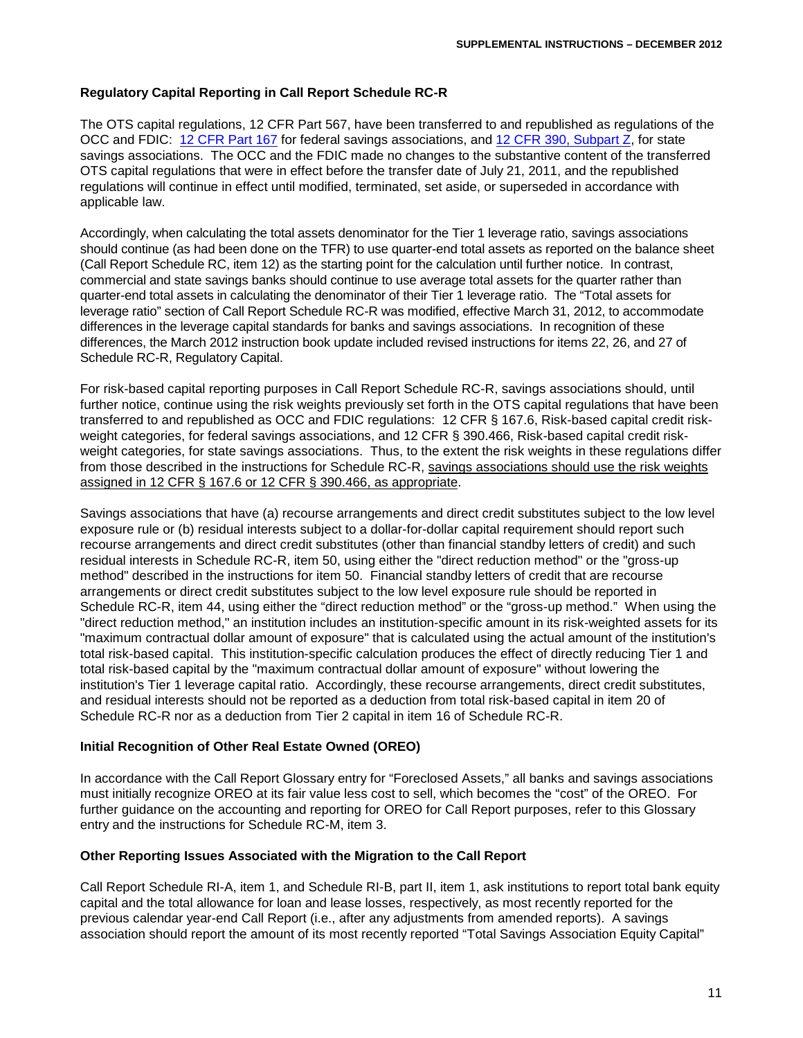## **Regulatory Capital Reporting in Call Report Schedule RC-R**

The OTS capital regulations, 12 CFR Part 567, have been transferred to and republished as regulations of the OCC and FDIC: [12 CFR Part](http://ecfr.gpoaccess.gov/cgi/t/text/text-idx?c=ecfr;sid=e515b2bdc0a32f541e88717464e73d65;rgn=div5;view=text;node=12%3A1.0.1.1.79;idno=12;cc=ecfr#12:1.0.1.1.79.1.44.1) 167 for federal savings associations, and 12 [CFR 390, Subpart Z,](http://www.fdic.gov/regulations/laws/rules/2000-9500.html) for state savings associations. The OCC and the FDIC made no changes to the substantive content of the transferred OTS capital regulations that were in effect before the transfer date of July 21, 2011, and the republished regulations will continue in effect until modified, terminated, set aside, or superseded in accordance with applicable law.

Accordingly, when calculating the total assets denominator for the Tier 1 leverage ratio, savings associations should continue (as had been done on the TFR) to use quarter-end total assets as reported on the balance sheet (Call Report Schedule RC, item 12) as the starting point for the calculation until further notice. In contrast, commercial and state savings banks should continue to use average total assets for the quarter rather than quarter-end total assets in calculating the denominator of their Tier 1 leverage ratio. The "Total assets for leverage ratio" section of Call Report Schedule RC-R was modified, effective March 31, 2012, to accommodate differences in the leverage capital standards for banks and savings associations. In recognition of these differences, the March 2012 instruction book update included revised instructions for items 22, 26, and 27 of Schedule RC-R, Regulatory Capital.

For risk-based capital reporting purposes in Call Report Schedule RC-R, savings associations should, until further notice, continue using the risk weights previously set forth in the OTS capital regulations that have been transferred to and republished as OCC and FDIC regulations: 12 CFR § 167.6, Risk-based capital credit riskweight categories, for federal savings associations, and 12 CFR § 390.466. Risk-based capital credit riskweight categories, for state savings associations. Thus, to the extent the risk weights in these regulations differ from those described in the instructions for Schedule RC-R, savings associations should use the risk weights assigned in 12 CFR § 167.6 or 12 CFR § 390.466, as appropriate.

Savings associations that have (a) recourse arrangements and direct credit substitutes subject to the low level exposure rule or (b) residual interests subject to a dollar-for-dollar capital requirement should report such recourse arrangements and direct credit substitutes (other than financial standby letters of credit) and such residual interests in Schedule RC-R, item 50, using either the "direct reduction method" or the "gross-up method" described in the instructions for item 50. Financial standby letters of credit that are recourse arrangements or direct credit substitutes subject to the low level exposure rule should be reported in Schedule RC-R, item 44, using either the "direct reduction method" or the "gross-up method." When using the "direct reduction method," an institution includes an institution-specific amount in its risk-weighted assets for its "maximum contractual dollar amount of exposure" that is calculated using the actual amount of the institution's total risk-based capital. This institution-specific calculation produces the effect of directly reducing Tier 1 and total risk-based capital by the "maximum contractual dollar amount of exposure" without lowering the institution's Tier 1 leverage capital ratio. Accordingly, these recourse arrangements, direct credit substitutes, and residual interests should not be reported as a deduction from total risk-based capital in item 20 of Schedule RC-R nor as a deduction from Tier 2 capital in item 16 of Schedule RC-R.

## **Initial Recognition of Other Real Estate Owned (OREO)**

In accordance with the Call Report Glossary entry for "Foreclosed Assets," all banks and savings associations must initially recognize OREO at its fair value less cost to sell, which becomes the "cost" of the OREO. For further guidance on the accounting and reporting for OREO for Call Report purposes, refer to this Glossary entry and the instructions for Schedule RC-M, item 3.

#### **Other Reporting Issues Associated with the Migration to the Call Report**

Call Report Schedule RI-A, item 1, and Schedule RI-B, part II, item 1, ask institutions to report total bank equity capital and the total allowance for loan and lease losses, respectively, as most recently reported for the previous calendar year-end Call Report (i.e., after any adjustments from amended reports). A savings association should report the amount of its most recently reported "Total Savings Association Equity Capital"